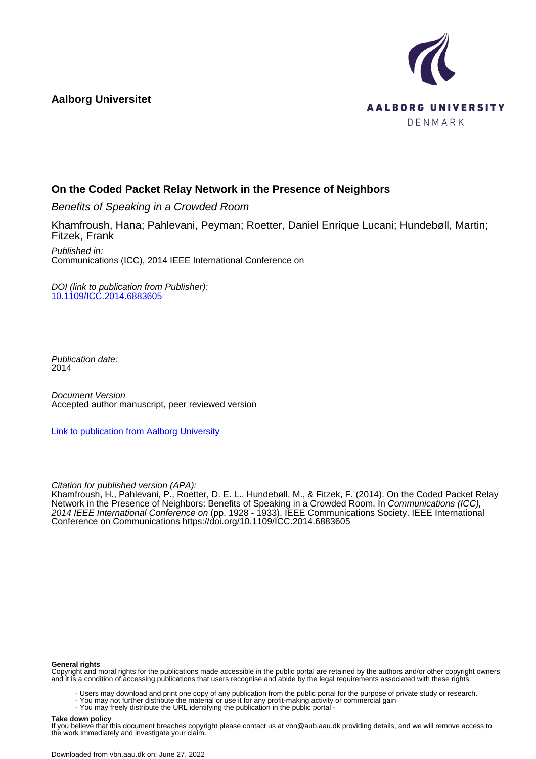# **Aalborg Universitet**



# **On the Coded Packet Relay Network in the Presence of Neighbors**

Benefits of Speaking in a Crowded Room

Khamfroush, Hana; Pahlevani, Peyman; Roetter, Daniel Enrique Lucani; Hundebøll, Martin; Fitzek, Frank Published in: Communications (ICC), 2014 IEEE International Conference on

DOI (link to publication from Publisher): [10.1109/ICC.2014.6883605](https://doi.org/10.1109/ICC.2014.6883605)

Publication date: 2014

Document Version Accepted author manuscript, peer reviewed version

[Link to publication from Aalborg University](https://vbn.aau.dk/en/publications/ffb9cad1-fdb1-4e89-ba82-6af35ac8289b)

Citation for published version (APA):

Khamfroush, H., Pahlevani, P., Roetter, D. E. L., Hundebøll, M., & Fitzek, F. (2014). On the Coded Packet Relay Network in the Presence of Neighbors: Benefits of Speaking in a Crowded Room. In Communications (ICC), 2014 IEEE International Conference on (pp. 1928 - 1933). IEEE Communications Society. IEEE International Conference on Communications <https://doi.org/10.1109/ICC.2014.6883605>

#### **General rights**

Copyright and moral rights for the publications made accessible in the public portal are retained by the authors and/or other copyright owners and it is a condition of accessing publications that users recognise and abide by the legal requirements associated with these rights.

- Users may download and print one copy of any publication from the public portal for the purpose of private study or research.
- You may not further distribute the material or use it for any profit-making activity or commercial gain
	- You may freely distribute the URL identifying the publication in the public portal -

#### **Take down policy**

If you believe that this document breaches copyright please contact us at vbn@aub.aau.dk providing details, and we will remove access to the work immediately and investigate your claim.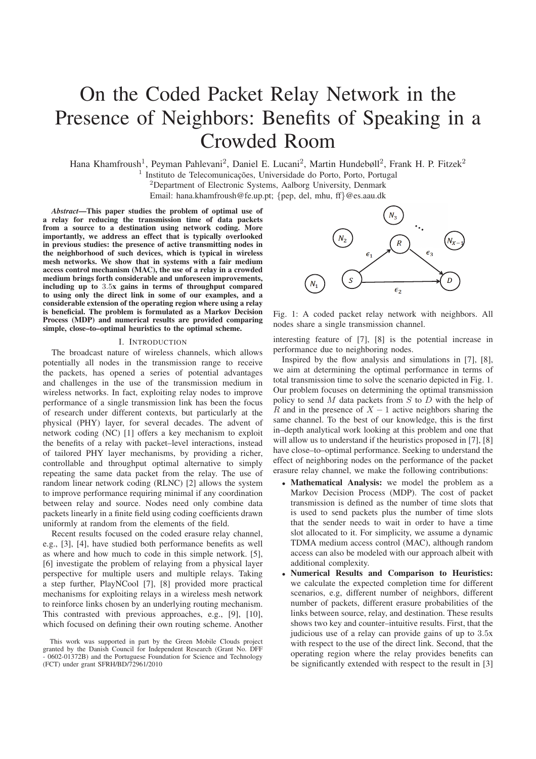# On the Coded Packet Relay Network in the Presence of Neighbors: Benefits of Speaking in a Crowded Room

Hana Khamfroush<sup>1</sup>, Peyman Pahlevani<sup>2</sup>, Daniel E. Lucani<sup>2</sup>, Martin Hundebøll<sup>2</sup>, Frank H. P. Fitzek<sup>2</sup>

<sup>1</sup> Instituto de Telecomunicações, Universidade do Porto, Porto, Portugal

<sup>2</sup>Department of Electronic Systems, Aalborg University, Denmark

Email: hana.khamfroush@fe.up.pt; {pep, del, mhu, ff}@es.aau.dk

*Abstract*—This paper studies the problem of optimal use of a relay for reducing the transmission time of data packets from a source to a destination using network coding. More importantly, we address an effect that is typically overlooked in previous studies: the presence of active transmitting nodes in the neighborhood of such devices, which is typical in wireless mesh networks. We show that in systems with a fair medium access control mechanism (MAC), the use of a relay in a crowded medium brings forth considerable and unforeseen improvements, including up to 3.5x gains in terms of throughput compared to using only the direct link in some of our examples, and a considerable extension of the operating region where using a relay is beneficial. The problem is formulated as a Markov Decision Process (MDP) and numerical results are provided comparing simple, close–to–optimal heuristics to the optimal scheme.

#### I. INTRODUCTION

The broadcast nature of wireless channels, which allows potentially all nodes in the transmission range to receive the packets, has opened a series of potential advantages and challenges in the use of the transmission medium in wireless networks. In fact, exploiting relay nodes to improve performance of a single transmission link has been the focus of research under different contexts, but particularly at the physical (PHY) layer, for several decades. The advent of network coding (NC) [1] offers a key mechanism to exploit the benefits of a relay with packet–level interactions, instead of tailored PHY layer mechanisms, by providing a richer, controllable and throughput optimal alternative to simply repeating the same data packet from the relay. The use of random linear network coding (RLNC) [2] allows the system to improve performance requiring minimal if any coordination between relay and source. Nodes need only combine data packets linearly in a finite field using coding coefficients drawn uniformly at random from the elements of the field.

Recent results focused on the coded erasure relay channel, e.g., [3], [4], have studied both performance benefits as well as where and how much to code in this simple network. [5], [6] investigate the problem of relaying from a physical layer perspective for multiple users and multiple relays. Taking a step further, PlayNCool [7], [8] provided more practical mechanisms for exploiting relays in a wireless mesh network to reinforce links chosen by an underlying routing mechanism. This contrasted with previous approaches, e.g., [9], [10], which focused on defining their own routing scheme. Another



Fig. 1: A coded packet relay network with neighbors. All nodes share a single transmission channel.

interesting feature of [7], [8] is the potential increase in performance due to neighboring nodes.

Inspired by the flow analysis and simulations in [7], [8], we aim at determining the optimal performance in terms of total transmission time to solve the scenario depicted in Fig. 1. Our problem focuses on determining the optimal transmission policy to send  $M$  data packets from  $S$  to  $D$  with the help of R and in the presence of  $X - 1$  active neighbors sharing the same channel. To the best of our knowledge, this is the first in–depth analytical work looking at this problem and one that will allow us to understand if the heuristics proposed in [7], [8] have close–to–optimal performance. Seeking to understand the effect of neighboring nodes on the performance of the packet erasure relay channel, we make the following contributions:

- Mathematical Analysis: we model the problem as a Markov Decision Process (MDP). The cost of packet transmission is defined as the number of time slots that is used to send packets plus the number of time slots that the sender needs to wait in order to have a time slot allocated to it. For simplicity, we assume a dynamic TDMA medium access control (MAC), although random access can also be modeled with our approach albeit with additional complexity.
- Numerical Results and Comparison to Heuristics: we calculate the expected completion time for different scenarios, e.g, different number of neighbors, different number of packets, different erasure probabilities of the links between source, relay, and destination. These results shows two key and counter–intuitive results. First, that the judicious use of a relay can provide gains of up to 3.5x with respect to the use of the direct link. Second, that the operating region where the relay provides benefits can be significantly extended with respect to the result in [3]

This work was supported in part by the Green Mobile Clouds project granted by the Danish Council for Independent Research (Grant No. DFF - 0602-01372B) and the Portuguese Foundation for Science and Technology (FCT) under grant SFRH/BD/72961/2010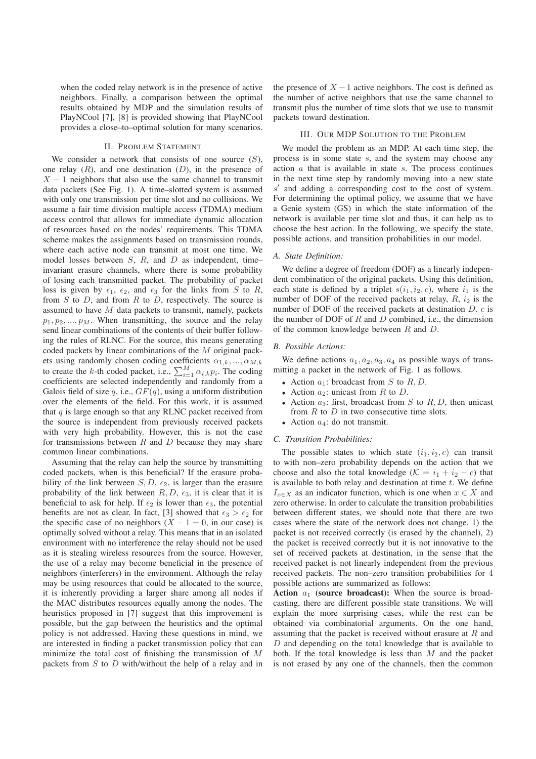when the coded relay network is in the presence of active neighbors. Finally, a comparison between the optimal results obtained by MDP and the simulation results of PlayNCool [7], [8] is provided showing that PlayNCool provides a close–to–optimal solution for many scenarios.

#### II. PROBLEM STATEMENT

We consider a network that consists of one source  $(S)$ , one relay  $(R)$ , and one destination  $(D)$ , in the presence of  $X - 1$  neighbors that also use the same channel to transmit data packets (See Fig. 1). A time–slotted system is assumed with only one transmission per time slot and no collisions. We assume a fair time division multiple access (TDMA) medium access control that allows for immediate dynamic allocation of resources based on the nodes' requirements. This TDMA scheme makes the assignments based on transmission rounds, where each active node can transmit at most one time. We model losses between  $S$ ,  $R$ , and  $D$  as independent, timeinvariant erasure channels, where there is some probability of losing each transmitted packet. The probability of packet loss is given by  $\epsilon_1$ ,  $\epsilon_2$ , and  $\epsilon_3$  for the links from S to R, from  $S$  to  $D$ , and from  $R$  to  $D$ , respectively. The source is assumed to have  $M$  data packets to transmit, namely, packets  $p_1, p_2, ..., p_M$ . When transmitting, the source and the relay send linear combinations of the contents of their buffer following the rules of RLNC. For the source, this means generating coded packets by linear combinations of the M original packets using randomly chosen coding coefficients  $\alpha_{1,k},...,\alpha_{M,k}$ to create the k-th coded packet, i.e.,  $\sum_{i=1}^{M} \alpha_{i,k} p_i$ . The coding coefficients are selected independently and randomly from a Galois field of size q, i.e.,  $GF(q)$ , using a uniform distribution over the elements of the field. For this work, it is assumed that  $q$  is large enough so that any RLNC packet received from the source is independent from previously received packets with very high probability. However, this is not the case for transmissions between  $R$  and  $D$  because they may share common linear combinations.

Assuming that the relay can help the source by transmitting coded packets, when is this beneficial? If the erasure probability of the link between  $S, D, \epsilon_2$ , is larger than the erasure probability of the link between  $R, D, \epsilon_3$ , it is clear that it is beneficial to ask for help. If  $\epsilon_2$  is lower than  $\epsilon_3$ , the potential benefits are not as clear. In fact, [3] showed that  $\epsilon_3 > \epsilon_2$  for the specific case of no neighbors  $(X - 1 = 0)$ , in our case) is optimally solved without a relay. This means that in an isolated environment with no interference the relay should not be used as it is stealing wireless resources from the source. However, the use of a relay may become beneficial in the presence of neighbors (interferers) in the environment. Although the relay may be using resources that could be allocated to the source, it is inherently providing a larger share among all nodes if the MAC distributes resources equally among the nodes. The heuristics proposed in [7] suggest that this improvement is possible, but the gap between the heuristics and the optimal policy is not addressed. Having these questions in mind, we are interested in finding a packet transmission policy that can minimize the total cost of finishing the transmission of  $M$ packets from S to D with/without the help of a relay and in

the presence of  $X - 1$  active neighbors. The cost is defined as the number of active neighbors that use the same channel to transmit plus the number of time slots that we use to transmit packets toward destination.

#### III. OUR MDP SOLUTION TO THE PROBLEM

We model the problem as an MDP. At each time step, the process is in some state s, and the system may choose any action  $\alpha$  that is available in state  $\alpha$ . The process continues in the next time step by randomly moving into a new state s ′ and adding a corresponding cost to the cost of system. For determining the optimal policy, we assume that we have a Genie system (GS) in which the state information of the network is available per time slot and thus, it can help us to choose the best action. In the following, we specify the state, possible actions, and transition probabilities in our model.

## *A. State Definition:*

We define a degree of freedom (DOF) as a linearly independent combination of the original packets. Using this definition, each state is defined by a triplet  $s(i_1, i_2, c)$ , where  $i_1$  is the number of DOF of the received packets at relay,  $R$ ,  $i_2$  is the number of DOF of the received packets at destination  $D$ .  $c$  is the number of DOF of  $R$  and  $D$  combined, i.e., the dimension of the common knowledge between  $R$  and  $D$ .

#### *B. Possible Actions:*

We define actions  $a_1, a_2, a_3, a_4$  as possible ways of transmitting a packet in the network of Fig. 1 as follows.

- Action  $a_1$ : broadcast from S to R, D.
- Action  $a_2$ : unicast from R to D.
- Action  $a_3$ : first, broadcast from S to R, D, then unicast from  $R$  to  $D$  in two consecutive time slots.
- Action  $a_4$ : do not transmit.

#### *C. Transition Probabilities:*

The possible states to which state  $(i_1, i_2, c)$  can transit to with non–zero probability depends on the action that we choose and also the total knowledge ( $K = i_1 + i_2 - c$ ) that is available to both relay and destination at time  $t$ . We define  $I_{x \in X}$  as an indicator function, which is one when  $x \in X$  and zero otherwise. In order to calculate the transition probabilities between different states, we should note that there are two cases where the state of the network does not change, 1) the packet is not received correctly (is erased by the channel), 2) the packet is received correctly but it is not innovative to the set of received packets at destination, in the sense that the received packet is not linearly independent from the previous received packets. The non–zero transition probabilities for 4 possible actions are summarized as follows:

Action  $a_1$  (source broadcast): When the source is broadcasting, there are different possible state transitions. We will explain the more surprising cases, while the rest can be obtained via combinatorial arguments. On the one hand, assuming that the packet is received without erasure at R and  $D$  and depending on the total knowledge that is available to both. If the total knowledge is less than  $M$  and the packet is not erased by any one of the channels, then the common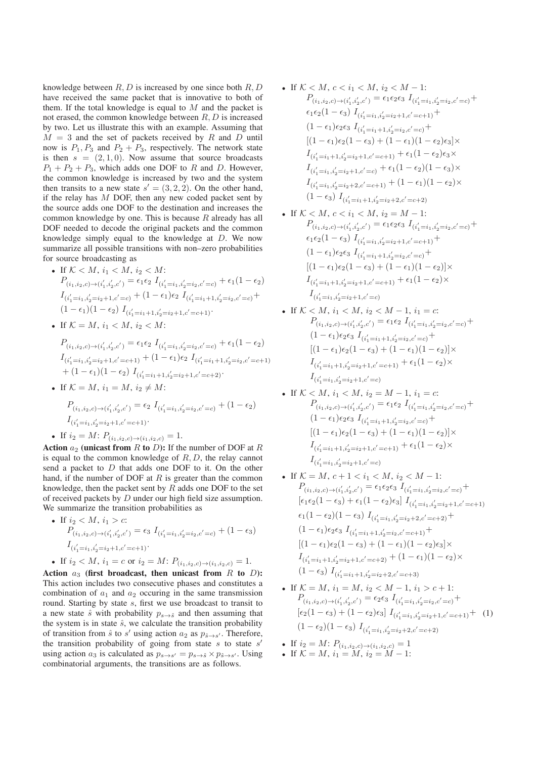knowledge between  $R, D$  is increased by one since both  $R, D$ have received the same packet that is innovative to both of them. If the total knowledge is equal to  $M$  and the packet is not erased, the common knowledge between R, D is increased by two. Let us illustrate this with an example. Assuming that  $M = 3$  and the set of packets received by R and D until now is  $P_1$ ,  $P_3$  and  $P_2 + P_3$ , respectively. The network state is then  $s = (2, 1, 0)$ . Now assume that source broadcasts  $P_1 + P_2 + P_3$ , which adds one DOF to R and D. However, the common knowledge is increased by two and the system then transits to a new state  $s' = (3, 2, 2)$ . On the other hand, if the relay has M DOF, then any new coded packet sent by the source adds one DOF to the destination and increases the common knowledge by one. This is because  $R$  already has all DOF needed to decode the original packets and the common knowledge simply equal to the knowledge at D. We now summarize all possible transitions with non–zero probabilities for source broadcasting as

- If  $K < M$ ,  $i_1 < M$ ,  $i_2 < M$ :  $P_{(i_1,i_2,c)\to(i'_1,i'_2,c')} = \epsilon_1\epsilon_2 \ I_{(i'_1=i_1,i'_2=i_2,c'=c)} + \epsilon_1(1-\epsilon_2)$  $I_{(i_1'=i_1,i_2'=i_2+1,c'=c)} + (1-\epsilon_1)\epsilon_2 \ I_{(i_1'=i_1+1,i_2'=i_2,c'=c)} +$  $(1 - \epsilon_1)(1 - \epsilon_2) I_{(i'_1 = i_1 + 1, i'_2 = i_2 + 1, c' = c + 1)}$ • If  $K = M$ ,  $i_1 < M$ ,  $i_2 < M$ :
	- $P_{(i_1,i_2,c)\to(i'_1,i'_2,c')} = \epsilon_1\epsilon_2 \; I_{(i'_1=i_1,i'_2=i_2,c'=c)} + \epsilon_1(1-\epsilon_2)$  $I_{(i'_1=i_1,i'_2=i_2+1,c' = c+1)} + (1 - \epsilon_1)\epsilon_2 I_{(i'_1=i_1+1,i'_2=i_2,c' = c+1)}$  $+ (1 - \epsilon_1)(1 - \epsilon_2) I_{(i'_1 = i_1 + 1, i'_2 = i_2 + 1, c' = c + 2)}$
- If  $K = M$ ,  $i_1 = M$ ,  $i_2 \neq M$ :

$$
P_{(i_1,i_2,c)\to(i'_1,i'_2,c')} = \epsilon_2 \ I_{(i'_1=i_1,i'_2=i_2,c'=c)} + (1-\epsilon_2)
$$
  

$$
I_{(i'_1=i_1,i'_2=i_2+1,c'=c+1)}.
$$

• If  $i_2 = M: P_{(i_1,i_2,c) \to (i_1,i_2,c)} = 1.$ 

Action  $a_2$  (unicast from R to D): If the number of DOF at R is equal to the common knowledge of  $R, D$ , the relay cannot send a packet to  $D$  that adds one DOF to it. On the other hand, if the number of DOF at  $R$  is greater than the common knowledge, then the packet sent by  $R$  adds one DOF to the set of received packets by  $D$  under our high field size assumption. We summarize the transition probabilities as

• If 
$$
i_2 < M
$$
,  $i_1 > c$ :  
\n
$$
P_{(i_1, i_2, c) \to (i'_1, i'_2, c')} = \epsilon_3 \ I_{(i'_1 = i_1, i'_2 = i_2, c' = c)} + (1 - \epsilon_3)
$$
\n
$$
I_{(i'_1 = i_1, i'_2 = i_2 + 1, c' = c + 1)}
$$

• If  $i_2 < M$ ,  $i_1 = c$  or  $i_2 = M$ :  $P_{(i_1,i_2,c) \rightarrow (i_1,i_2,c)} = 1$ .

Action  $a_3$  (first broadcast, then unicast from R to D): This action includes two consecutive phases and constitutes a combination of  $a_1$  and  $a_2$  occuring in the same transmission round. Starting by state s, first we use broadcast to transit to a new state  $\hat{s}$  with probability  $p_{s\rightarrow \hat{s}}$  and then assuming that the system is in state  $\hat{s}$ , we calculate the transition probability of transition from  $\hat{s}$  to  $s'$  using action  $a_2$  as  $p_{\hat{s}\rightarrow s'}$ . Therefore, the transition probability of going from state  $s$  to state  $s'$ using action  $a_3$  is calculated as  $p_{s \to s'} = p_{s \to s} \times p_{s \to s'}$ . Using combinatorial arguments, the transitions are as follows.

• If 
$$
K < M
$$
,  $c < i_1 < M$ ,  $i_2 < M - 1$ :  
\n
$$
P_{(i_1, i_2, c) \to (i'_1, i'_2, c')} = \epsilon_1 \epsilon_2 \epsilon_3 I_{(i'_1 = i_1, i'_2 = i_2, c' = c)} + \epsilon_1 \epsilon_2 (1 - \epsilon_3) I_{(i'_1 = i_1, i'_2 = i_2 + 1, c' = c + 1)} +
$$
\n
$$
(1 - \epsilon_1) \epsilon_2 \epsilon_3 I_{(i'_1 = i_1 + 1, i'_2 = i_2, c' = c)} +
$$
\n
$$
[(1 - \epsilon_1) \epsilon_2 (1 - \epsilon_3) + (1 - \epsilon_1)(1 - \epsilon_2) \epsilon_3] \times I_{(i'_1 = i_1 + 1, i'_2 = i_2 + 1, c' = c + 1)} + \epsilon_1 (1 - \epsilon_2) \epsilon_3 \times I_{(i'_1 = i_1, i'_2 = i_2 + 1, c' = c)} + \epsilon_1 (1 - \epsilon_2) (1 - \epsilon_3) \times I_{(i'_1 = i_1, i'_2 = i_2 + 2, c' = c + 1)} + (1 - \epsilon_1) (1 - \epsilon_2) \times (1 - \epsilon_3) I_{(i'_1 = i_1 + 1, i'_2 = i_2 + 2, c' = c + 2)}
$$

- If  $K < M$ ,  $c < i_1 < M$ ,  $i_2 = M 1$ :  $P_{(i_1,i_2,c)\to(i'_1,i'_2,c')} = \epsilon_1\epsilon_2\epsilon_3 \; I_{(i'_1=i_1,i'_2=i_2,c'=c)} +$  $\epsilon_1 \epsilon_2 (1 - \epsilon_3) I_{(i'_1 = i_1, i'_2 = i_2 + 1, c' = c + 1)} +$  $(1 - \epsilon_1) \epsilon_2 \epsilon_3 I_{(i'_1 = i_1 + 1, i'_2 = i_2, c' = c)} +$  $[(1 - \epsilon_1)\epsilon_2(1 - \epsilon_3) + (1 - \epsilon_1)(1 - \epsilon_2)] \times$  $I_{(i_1'=i_1+1,i_2'=i_2+1,c'=c+1)} + \epsilon_1(1-\epsilon_2) \times$  $I_{(i'_1=i_1,i'_2=i_2+1,c'=c)}$
- If  $K < M$ ,  $i_1 < M$ ,  $i_2 < M 1$ ,  $i_1 = c$ :  $P_{(i_1,i_2,c)\to(i'_1,i'_2,c')} = \epsilon_1\epsilon_2 \ I_{(i'_1=i_1,i'_2=i_2,c'=c)} +$  $(1 - \epsilon_1) \epsilon_2 \epsilon_3 I_{(i'_1 = i_1 + 1, i'_2 = i_2, c' = c)} +$  $[(1 - \epsilon_1)\epsilon_2(1 - \epsilon_3) + (1 - \epsilon_1)(1 - \epsilon_2)] \times$  $I_{(i_1'=i_1+1,i_2'=i_2+1,c'=c+1)} + \epsilon_1(1-\epsilon_2) \times$  $I_{(i'_1=i_1,i'_2=i_2+1,c'=c)}$
- If  $K < M$ ,  $i_1 < M$ ,  $i_2 = M 1$ ,  $i_1 = c$ :  $P_{(i_1,i_2,c)\to(i'_1,i'_2,c')} = \epsilon_1\epsilon_2 \, I_{(i'_1=i_1,i'_2=i_2,c'=c)} +$  $(1 - \epsilon_1)\epsilon_2 \epsilon_3 \ I_{(i'_1 = i_1 + 1, i'_2 = i_2, c' = c)} +$  $[(1 - \epsilon_1)\epsilon_2(1 - \epsilon_3) + (1 - \epsilon_1)(1 - \epsilon_2)] \times$  $I_{(i_1'=i_1+1,i_2'=i_2+1,c'=c+1)} + \epsilon_1(1-\epsilon_2) \times$  $I_{(i_1'=i_1,i_2'=i_2+1,c'=c)}$
- If  $K = M$ ,  $c + 1 < i_1 < M$ ,  $i_2 < M 1$ :  $P_{(i_1,i_2,c)\to(i'_1,i'_2,c')} = \epsilon_1\epsilon_2\epsilon_3 \; I_{(i'_1=i_1,i'_2=i_2,c'=c)} +$  $\left[\epsilon_1 \epsilon_2 (1 - \epsilon_3) + \epsilon_1 (1 - \epsilon_2) \epsilon_3\right] I_{(i'_1 = i_1, i'_2 = i_2 + 1, c' = c + 1)}$  $\epsilon_1(1-\epsilon_2)(1-\epsilon_3) I_{(i'_1=i_1,i'_2=i_2+2,c'=c+2)} +$  $(1 - \epsilon_1) \epsilon_2 \epsilon_3 I_{(i'_1 = i_1 + 1, i'_2 = i_2, c' = c + 1)} +$  $[(1 - \epsilon_1)\epsilon_2(1 - \epsilon_3) + (1 - \epsilon_1)(1 - \epsilon_2)\epsilon_3] \times$  $I_{(i_1'=i_1+1,i_2'=i_2+1,c'=c+2)} + (1-\epsilon_1)(1-\epsilon_2) \times$  $(1 - \epsilon_3) I_{(i'_1 = i_1 + 1, i'_2 = i_2 + 2, c' = c + 3)}$
- If  $K = M$ ,  $i_1 = M$ ,  $i_2 < M 1$ ,  $i_1 > c + 1$ :  $P_{(i_1,i_2,c)\to(i'_1,i'_2,c')} = \epsilon_2 \epsilon_3 \ I_{(i'_1=i_1,i'_2=i_2,c'=c)} +$  $\left[\epsilon_2(1-\epsilon_3)+(1-\epsilon_2)\epsilon_3\right] I_{(i'_1=i_1,i'_2=i_2+1,c'=c+1)}$  (1)  $(1 - \epsilon_2)(1 - \epsilon_3) I_{(i'_1 = i_1, i'_2 = i_2 + 2, c' = c + 2)}$
- If  $i_2 = M: P_{(i_1,i_2,c) \to (i_1,i_2,c)} = 1$
- If  $K = M$ ,  $i_1 = M$ ,  $i_2 = M 1$ :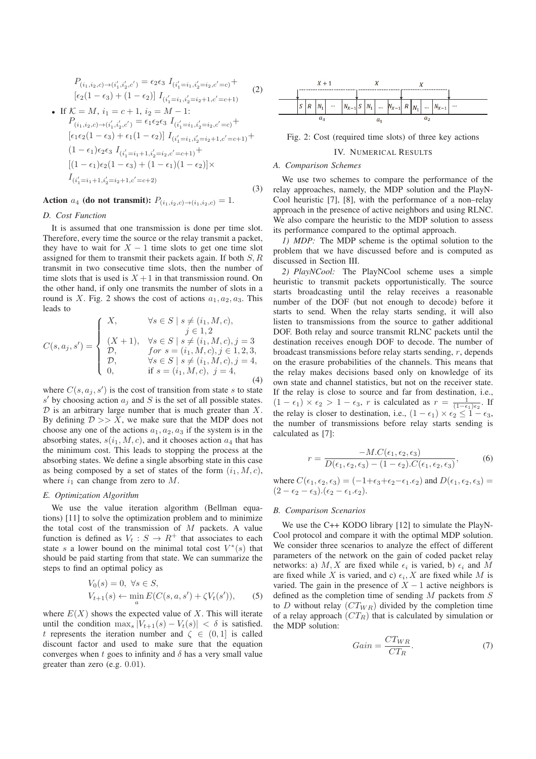$$
P_{(i_1,i_2,c)\to(i'_1,i'_2,c')} = \epsilon_2 \epsilon_3 \ I_{(i'_1=i_1,i'_2=i_2,c'=c)} +
$$
  
\n
$$
[\epsilon_2(1-\epsilon_3)+(1-\epsilon_2)] \ I_{(i'_1=i_1,i'_2=i_2+1,c'=c+1)}
$$
 (2)

• If 
$$
K = M
$$
,  $i_1 = c + 1$ ,  $i_2 = M - 1$ :  
\n
$$
P_{(i_1, i_2, c) \to (i'_1, i'_2, c')} = \epsilon_1 \epsilon_2 \epsilon_3 I_{(i'_1 = i_1, i'_2 = i_2, c' = c)} +
$$
\n
$$
[\epsilon_1 \epsilon_2 (1 - \epsilon_3) + \epsilon_1 (1 - \epsilon_2)] I_{(i'_1 = i_1, i'_2 = i_2 + 1, c' = c + 1)} +
$$
\n
$$
(1 - \epsilon_1) \epsilon_2 \epsilon_3 I_{(i'_1 = i_1 + 1, i'_2 = i_2, c' = c + 1)} +
$$
\n
$$
[(1 - \epsilon_1) \epsilon_2 (1 - \epsilon_3) + (1 - \epsilon_1) (1 - \epsilon_2)] \times I_{(i'_1 = i_1 + 1, i'_2 = i_2 + 1, c' = c + 2)}
$$
\n(3)

# Action  $a_4$  (do not transmit):  $P_{(i_1,i_2,c)\to(i_1,i_2,c)} = 1$ .

## *D. Cost Function*

It is assumed that one transmission is done per time slot. Therefore, every time the source or the relay transmit a packet, they have to wait for  $X - 1$  time slots to get one time slot assigned for them to transmit their packets again. If both S, R transmit in two consecutive time slots, then the number of time slots that is used is  $X + 1$  in that transmission round. On the other hand, if only one transmits the number of slots in a round is X. Fig. 2 shows the cost of actions  $a_1, a_2, a_3$ . This leads to

$$
C(s, a_j, s') = \begin{cases} X, & \forall s \in S \mid s \neq (i_1, M, c), \\ (X + 1), & j \in 1, 2 \\ \mathcal{D}, & \text{for } s = (i_1, M, c), j \in 1, 2, 3, \\ \mathcal{D}, & \forall s \in S \mid s \neq (i_1, M, c), j \in 1, 2, 3, \\ \mathcal{D}, & \forall s \in S \mid s \neq (i_1, M, c), j = 4, \\ 0, & \text{if } s = (i_1, M, c), j = 4, \end{cases}
$$
(4)

where  $C(s, a_j, s')$  is the cost of transition from state s to state  $s'$  by choosing action  $a_j$  and  $S$  is the set of all possible states.  $D$  is an arbitrary large number that is much greater than  $X$ . By defining  $D \gg X$ , we make sure that the MDP does not choose any one of the actions  $a_1, a_2, a_3$  if the system is in the absorbing states,  $s(i_1, M, c)$ , and it chooses action  $a_4$  that has the minimum cost. This leads to stopping the process at the absorbing states. We define a single absorbing state in this case as being composed by a set of states of the form  $(i_1, M, c)$ , where  $i_1$  can change from zero to  $M$ .

#### *E. Optimization Algorithm*

We use the value iteration algorithm (Bellman equations) [11] to solve the optimization problem and to minimize the total cost of the transmission of  $M$  packets. A value function is defined as  $V_t : S \to R^+$  that associates to each state s a lower bound on the minimal total cost  $V^*(s)$  that should be paid starting from that state. We can summarize the steps to find an optimal policy as

$$
V_0(s) = 0, \ \forall s \in S, V_{t+1}(s) \leftarrow \min_a E(C(s, a, s') + \zeta V_t(s')),
$$
 (5)

where  $E(X)$  shows the expected value of X. This will iterate until the condition  $\max_{s} |V_{t+1}(s) - V_t(s)| < \delta$  is satisfied. t represents the iteration number and  $\zeta \in (0,1]$  is called discount factor and used to make sure that the equation converges when t goes to infinity and  $\delta$  has a very small value greater than zero (e.g. 0.01).



Fig. 2: Cost (required time slots) of three key actions

## IV. NUMERICAL RESULTS

## *A. Comparison Schemes*

We use two schemes to compare the performance of the relay approaches, namely, the MDP solution and the PlayN-Cool heuristic [7], [8], with the performance of a non–relay approach in the presence of active neighbors and using RLNC. We also compare the heuristic to the MDP solution to assess its performance compared to the optimal approach.

*1) MDP:* The MDP scheme is the optimal solution to the problem that we have discussed before and is computed as discussed in Section III.

*2) PlayNCool:* The PlayNCool scheme uses a simple heuristic to transmit packets opportunistically. The source starts broadcasting until the relay receives a reasonable number of the DOF (but not enough to decode) before it starts to send. When the relay starts sending, it will also listen to transmissions from the source to gather additional DOF. Both relay and source transmit RLNC packets until the destination receives enough DOF to decode. The number of broadcast transmissions before relay starts sending,  $r$ , depends on the erasure probabilities of the channels. This means that the relay makes decisions based only on knowledge of its own state and channel statistics, but not on the receiver state. If the relay is close to source and far from destination, i.e.,  $(1 - \epsilon_1) \times \epsilon_2 > 1 - \epsilon_3$ , r is calculated as  $r = \frac{1}{(1 - \epsilon_1)\epsilon_2}$ . If the relay is closer to destination, i.e.,  $(1 - \epsilon_1) \times \epsilon_2 \leq 1 - \epsilon_3$ , the number of transmissions before relay starts sending is calculated as [7]:

$$
r = \frac{-M.C(\epsilon_1, \epsilon_2, \epsilon_3)}{D(\epsilon_1, \epsilon_2, \epsilon_3) - (1 - \epsilon_2).C(\epsilon_1, \epsilon_2, \epsilon_3)},
$$
(6)

where  $C(\epsilon_1, \epsilon_2, \epsilon_3) = (-1+\epsilon_3+\epsilon_2-\epsilon_1 \cdot \epsilon_2)$  and  $D(\epsilon_1, \epsilon_2, \epsilon_3) =$  $(2-\epsilon_2-\epsilon_3).(\epsilon_2-\epsilon_1.\epsilon_2).$ 

#### *B. Comparison Scenarios*

We use the C++ KODO library [12] to simulate the PlayN-Cool protocol and compare it with the optimal MDP solution. We consider three scenarios to analyze the effect of different parameters of the network on the gain of coded packet relay networks: a)  $M, X$  are fixed while  $\epsilon_i$  is varied, b)  $\epsilon_i$  and M are fixed while X is varied, and c)  $\epsilon_i$ , X are fixed while M is varied. The gain in the presence of  $X - 1$  active neighbors is defined as the completion time of sending M packets from S to  $D$  without relay  $(CT_{WR})$  divided by the completion time of a relay approach  $(CT_R)$  that is calculated by simulation or the MDP solution:

$$
Gain = \frac{CT_{WR}}{CT_{R}}.\tag{7}
$$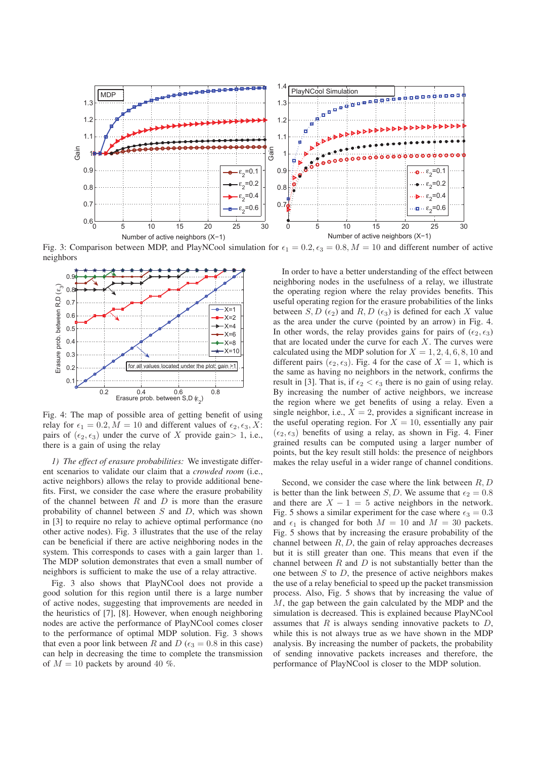

Fig. 3: Comparison between MDP, and PlayNCool simulation for  $\epsilon_1 = 0.2$ ,  $\epsilon_3 = 0.8$ ,  $M = 10$  and different number of active neighbors



Fig. 4: The map of possible area of getting benefit of using relay for  $\epsilon_1 = 0.2, \overline{M} = 10$  and different values of  $\epsilon_2, \epsilon_3, X$ : pairs of  $(\epsilon_2, \epsilon_3)$  under the curve of X provide gain > 1, i.e., there is a gain of using the relay

*1) The effect of erasure probabilities:* We investigate different scenarios to validate our claim that a *crowded room* (i.e., active neighbors) allows the relay to provide additional benefits. First, we consider the case where the erasure probability of the channel between  $R$  and  $D$  is more than the erasure probability of channel between  $S$  and  $D$ , which was shown in [3] to require no relay to achieve optimal performance (no other active nodes). Fig. 3 illustrates that the use of the relay can be beneficial if there are active neighboring nodes in the system. This corresponds to cases with a gain larger than 1. The MDP solution demonstrates that even a small number of neighbors is sufficient to make the use of a relay attractive.

Fig. 3 also shows that PlayNCool does not provide a good solution for this region until there is a large number of active nodes, suggesting that improvements are needed in the heuristics of [7], [8]. However, when enough neighboring nodes are active the performance of PlayNCool comes closer to the performance of optimal MDP solution. Fig. 3 shows that even a poor link between R and D ( $\epsilon_3 = 0.8$  in this case) can help in decreasing the time to complete the transmission of  $M = 10$  packets by around 40 %.

In order to have a better understanding of the effect between neighboring nodes in the usefulness of a relay, we illustrate the operating region where the relay provides benefits. This useful operating region for the erasure probabilities of the links between  $S, D(\epsilon_2)$  and  $R, D(\epsilon_3)$  is defined for each X value as the area under the curve (pointed by an arrow) in Fig. 4. In other words, the relay provides gains for pairs of  $(\epsilon_2, \epsilon_3)$ that are located under the curve for each  $X$ . The curves were calculated using the MDP solution for  $X = 1, 2, 4, 6, 8, 10$  and different pairs ( $\epsilon_2, \epsilon_3$ ). Fig. 4 for the case of  $X = 1$ , which is the same as having no neighbors in the network, confirms the result in [3]. That is, if  $\epsilon_2 < \epsilon_3$  there is no gain of using relay. By increasing the number of active neighbors, we increase the region where we get benefits of using a relay. Even a single neighbor, i.e.,  $X = 2$ , provides a significant increase in the useful operating region. For  $X = 10$ , essentially any pair  $(\epsilon_2, \epsilon_3)$  benefits of using a relay, as shown in Fig. 4. Finer grained results can be computed using a larger number of points, but the key result still holds: the presence of neighbors makes the relay useful in a wider range of channel conditions.

Second, we consider the case where the link between  $R, D$ is better than the link between S, D. We assume that  $\epsilon_2 = 0.8$ and there are  $X - 1 = 5$  active neighbors in the network. Fig. 5 shows a similar experiment for the case where  $\epsilon_3 = 0.3$ and  $\epsilon_1$  is changed for both  $M = 10$  and  $M = 30$  packets. Fig. 5 shows that by increasing the erasure probability of the channel between  $R, D$ , the gain of relay approaches decreases but it is still greater than one. This means that even if the channel between  $R$  and  $D$  is not substantially better than the one between  $S$  to  $D$ , the presence of active neighbors makes the use of a relay beneficial to speed up the packet transmission process. Also, Fig. 5 shows that by increasing the value of M, the gap between the gain calculated by the MDP and the simulation is decreased. This is explained because PlayNCool assumes that  $R$  is always sending innovative packets to  $D$ , while this is not always true as we have shown in the MDP analysis. By increasing the number of packets, the probability of sending innovative packets increases and therefore, the performance of PlayNCool is closer to the MDP solution.